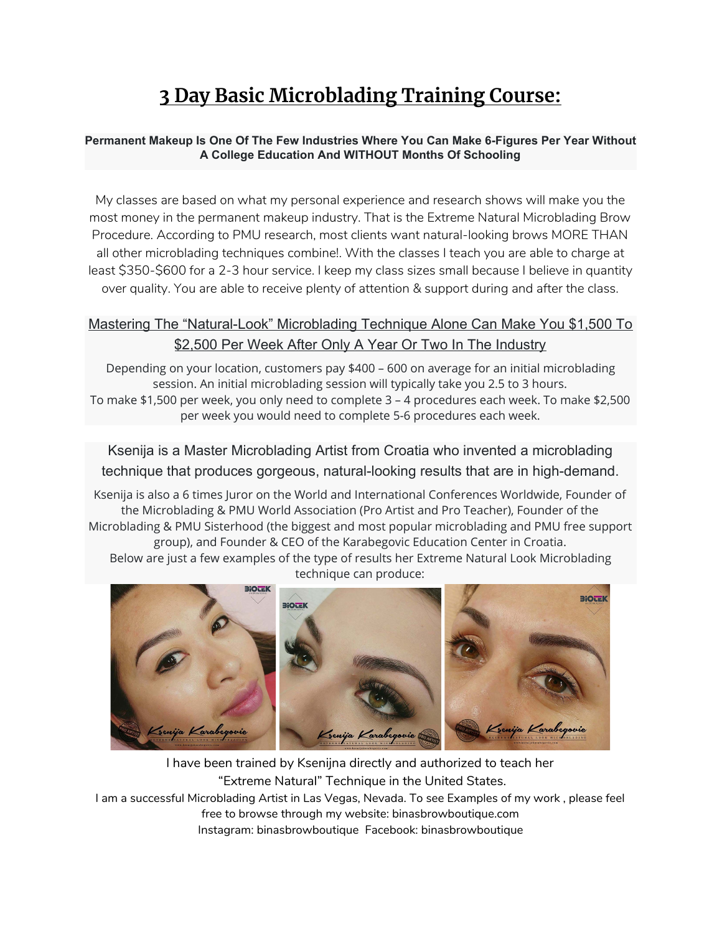# **3 Day Basic Microblading Training Course:**

#### **Permanent Makeup Is One Of The Few Industries Where You Can Make 6-Figures Per Year Without A College Education And WITHOUT Months Of Schooling**

My classes are based on what my personal experience and research shows will make you the most money in the permanent makeup industry. That is the Extreme Natural Microblading Brow Procedure. According to PMU research, most clients want natural-looking brows MORE THAN all other microblading techniques combine!. With the classes I teach you are able to charge at least \$350-\$600 for a 2-3 hour service. I keep my class sizes small because I believe in quantity over quality. You are able to receive plenty of attention & support during and after the class.

### Mastering The "Natural-Look" Microblading Technique Alone Can Make You \$1,500 To \$2,500 Per Week After Only A Year Or Two In The Industry

Depending on your location, customers pay \$400 – 600 on average for an initial microblading session. An initial microblading session will typically take you 2.5 to 3 hours. To make \$1,500 per week, you only need to complete 3 – 4 procedures each week. To make \$2,500 per week you would need to complete 5-6 procedures each week.

Ksenija is a Master Microblading Artist from Croatia who invented a microblading technique that produces gorgeous, natural-looking results that are in high-demand.

Ksenija is also a 6 times Juror on the World and International Conferences Worldwide, Founder of the Microblading & PMU World Association (Pro Artist and Pro Teacher), Founder of the Microblading & PMU Sisterhood (the biggest and most popular microblading and PMU free support group), and Founder & CEO of the Karabegovic Education Center in Croatia.

Below are just a few examples of the type of results her Extreme Natural Look Microblading technique can produce:



I have been trained by Ksenijna directly and authorized to teach her "Extreme Natural" Technique in the United States. I am a successful Microblading Artist in Las Vegas, Nevada. To see Examples of my work , please feel free to browse through my website: binasbrowboutique.com Instagram: binasbrowboutique Facebook: binasbrowboutique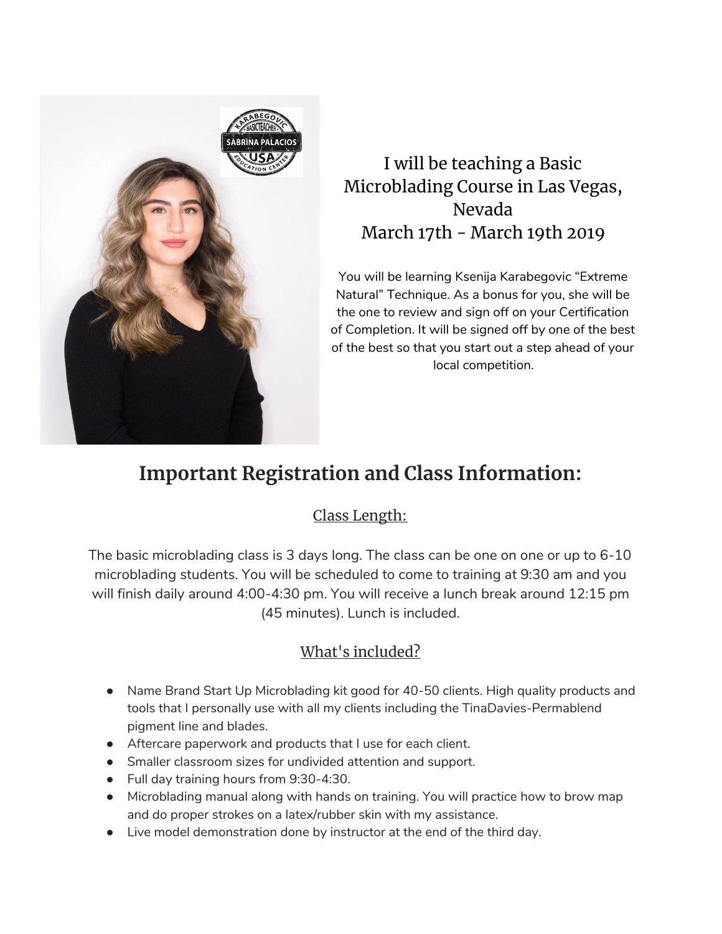

## I will be teaching a Basic Microblading Course in Las Vegas, Nevada March 17th - March 19th 2019

You will be learning Ksenija Karabegovic "Extreme Natural" Technique. As a bonus for you, she will be the one to review and sign off on your Certification of Completion. It will be signed off by one of the best of the best so that you start out a step ahead of your local competition.

## **Important Registration and Class Information:**

## Class Length:

The basic microblading class is 3 days long. The class can be one on one or up to 6-10 microblading students. You will be scheduled to come to training at 9:30 am and you will finish daily around 4:00-4:30 pm. You will receive a lunch break around 12:15 pm (45 minutes). Lunch is included.

## What's included?

- Name Brand Start Up Microblading kit good for 40-50 clients. High quality products and tools that I personally use with all my clients including the TinaDavies-Permablend pigment line and blades.
- Aftercare paperwork and products that I use for each client.
- Smaller classroom sizes for undivided attention and support.
- Full day training hours from 9:30-4:30.
- Microblading manual along with hands on training. You will practice how to brow map and do proper strokes on a latex/rubber skin with my assistance.
- Live model demonstration done by instructor at the end of the third day.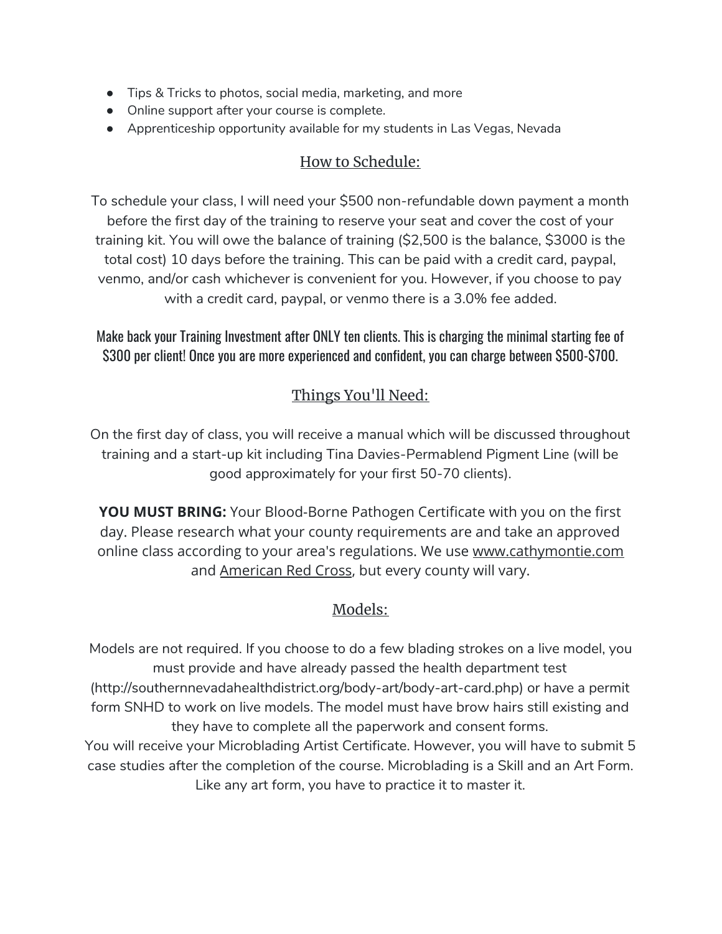- Tips & Tricks to photos, social media, marketing, and more
- Online support after your course is complete.
- Apprenticeship opportunity available for my students in Las Vegas, Nevada

### How to Schedule:

To schedule your class, I will need your \$500 non-refundable down payment a month before the first day of the training to reserve your seat and cover the cost of your training kit. You will owe the balance of training (\$2,500 is the balance, \$3000 is the total cost) 10 days before the training. This can be paid with a credit card, paypal, venmo, and/or cash whichever is convenient for you. However, if you choose to pay with a credit card, paypal, or venmo there is a 3.0% fee added.

Make back your Training Investment after ONLY ten clients. This is charging the minimal starting fee of \$300 per client! Once you are more experienced and confident, you can charge between \$500-\$700.

## Things You'll Need:

On the first day of class, you will receive a manual which will be discussed throughout training and a start-up kit including Tina Davies-Permablend Pigment Line (will be good approximately for your first 50-70 clients).

**YOU MUST BRING:** Your Blood-Borne Pathogen Certificate with you on the first day. Please research what your county requirements are and take an approved online class according to your area's regulations. We use www.cathymontie.com and American Red Cross, but every county will vary.

## Models:

Models are not required. If you choose to do a few blading strokes on a live model, you must provide and have already passed the health department test (http://southernnevadahealthdistrict.org/body-art/body-art-card.php) or have a permit form SNHD to work on live models. The model must have brow hairs still existing and they have to complete all the paperwork and consent forms. You will receive your Microblading Artist Certificate. However, you will have to submit 5 case studies after the completion of the course. Microblading is a Skill and an Art Form.

Like any art form, you have to practice it to master it.